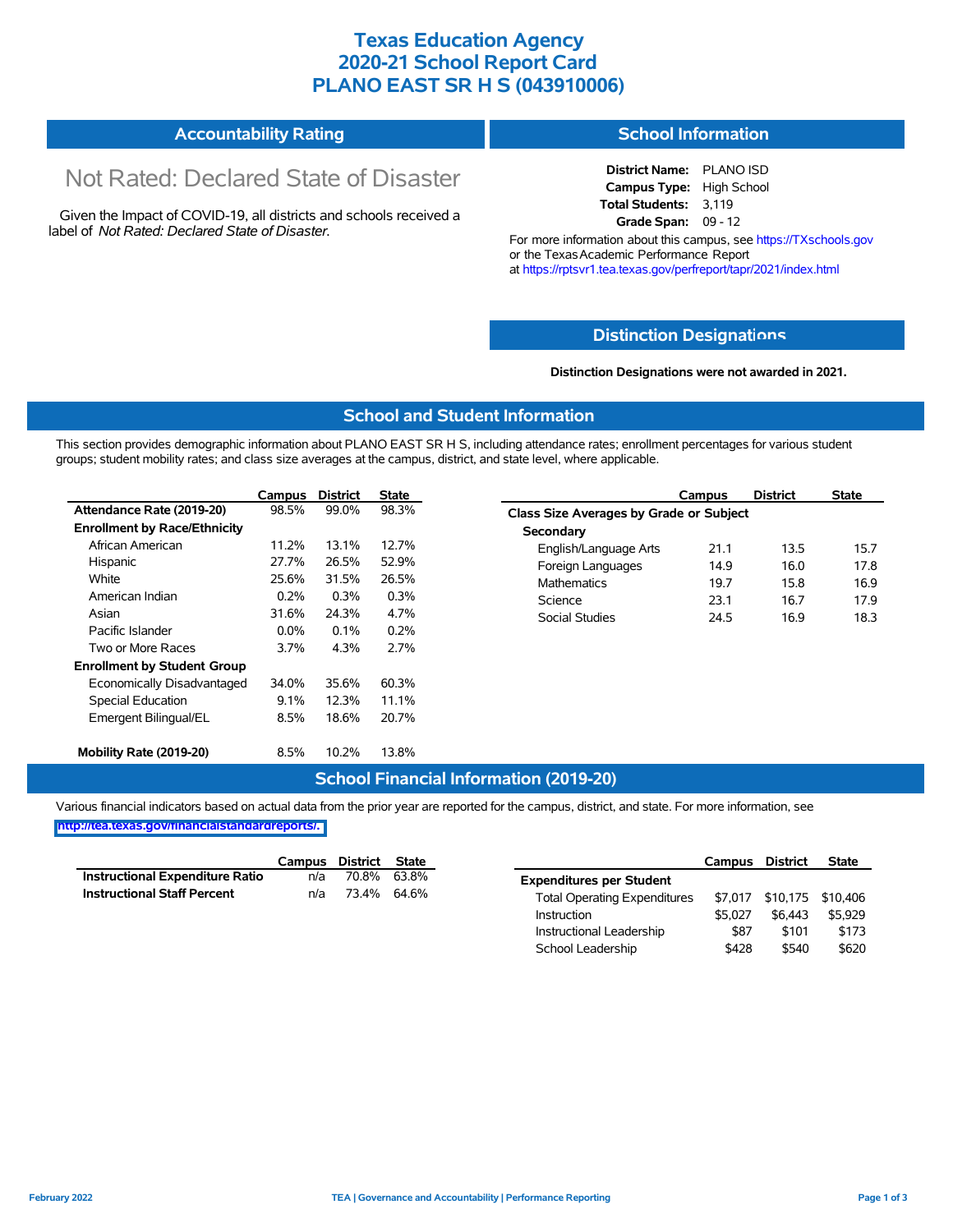## **Texas Education Agency 2020-21 School Report Card PLANO EAST SR H S (043910006)**

#### **Accountability Rating School Information**

# Not Rated: Declared State of Disaster

Given the Impact of COVID-19, all districts and schools received a label of *Not Rated: Declared State of Disaster.*

**District Name:** PLANO ISD **Campus Type:** High School **Total Students:** 3,119 **Grade Span:** 09 - 12

For more information about this campus, see https://TXschools.gov or the Texas Academic Performance Report at https://rptsvr1.tea.texas.gov/perfreport/tapr/2021/index.html

#### **Distinction Designat[ions](https://TXschools.gov)**

**Distinction Designations were not awarded in 2021.**

School Leadership  $$428$  \$540 \$620

#### **School and Student Information**

This section provides demographic information about PLANO EAST SR H S, including attendance rates; enrollment percentages for various student groups; student mobility rates; and class size averages at the campus, district, and state level, where applicable.

|                                     | Campus  | <b>District</b> | <b>State</b> | Campus                                  | <b>District</b> | <b>State</b> |  |  |  |  |  |  |
|-------------------------------------|---------|-----------------|--------------|-----------------------------------------|-----------------|--------------|--|--|--|--|--|--|
| Attendance Rate (2019-20)           | 98.5%   | 99.0%           | 98.3%        | Class Size Averages by Grade or Subject |                 |              |  |  |  |  |  |  |
| <b>Enrollment by Race/Ethnicity</b> |         |                 |              | Secondary                               |                 |              |  |  |  |  |  |  |
| African American                    | 11.2%   | 13.1%           | 12.7%        | English/Language Arts<br>21.1           | 13.5            | 15.7         |  |  |  |  |  |  |
| Hispanic                            | 27.7%   | 26.5%           | 52.9%        | 14.9<br>Foreign Languages               | 16.0            | 17.8         |  |  |  |  |  |  |
| White                               | 25.6%   | 31.5%           | 26.5%        | <b>Mathematics</b><br>19.7              | 15.8            | 16.9         |  |  |  |  |  |  |
| American Indian                     | 0.2%    | 0.3%            | 0.3%         | Science<br>23.1                         | 16.7            | 17.9         |  |  |  |  |  |  |
| Asian                               | 31.6%   | 24.3%           | 4.7%         | Social Studies<br>24.5                  | 16.9            | 18.3         |  |  |  |  |  |  |
| Pacific Islander                    | $0.0\%$ | 0.1%            | 0.2%         |                                         |                 |              |  |  |  |  |  |  |
| Two or More Races                   | 3.7%    | 4.3%            | 2.7%         |                                         |                 |              |  |  |  |  |  |  |
| <b>Enrollment by Student Group</b>  |         |                 |              |                                         |                 |              |  |  |  |  |  |  |
| Economically Disadvantaged          | 34.0%   | 35.6%           | 60.3%        |                                         |                 |              |  |  |  |  |  |  |
| Special Education                   | 9.1%    | 12.3%           | 11.1%        |                                         |                 |              |  |  |  |  |  |  |
| Emergent Bilingual/EL               | 8.5%    | 18.6%           | 20.7%        |                                         |                 |              |  |  |  |  |  |  |
| Mobility Rate (2019-20)             | 8.5%    | 10.2%           | 13.8%        |                                         |                 |              |  |  |  |  |  |  |

#### **School Financial Information (2019-20)**

Various financial indicators based on actual data from the prior year are reported for the campus, district, and state. For more information, see

**[http://tea.texas.gov/financialstandardreports/.](http://tea.texas.gov/financialstandardreports/)**

|                                        | Campus | <b>District</b> | <b>State</b> |                                     | Campus  | <b>District</b>           | <b>State</b> |
|----------------------------------------|--------|-----------------|--------------|-------------------------------------|---------|---------------------------|--------------|
| <b>Instructional Expenditure Ratio</b> | n/a    | 70.8%           | 63.8%        | <b>Expenditures per Student</b>     |         |                           |              |
| <b>Instructional Staff Percent</b>     | n/a    | 73.4%           | 64.6%        | <b>Total Operating Expenditures</b> |         | \$7,017 \$10,175 \$10,406 |              |
|                                        |        |                 |              | Instruction                         | \$5.027 | \$6.443                   | \$5.929      |
|                                        |        |                 |              | Instructional Leadership            | \$87    | \$101                     | \$173        |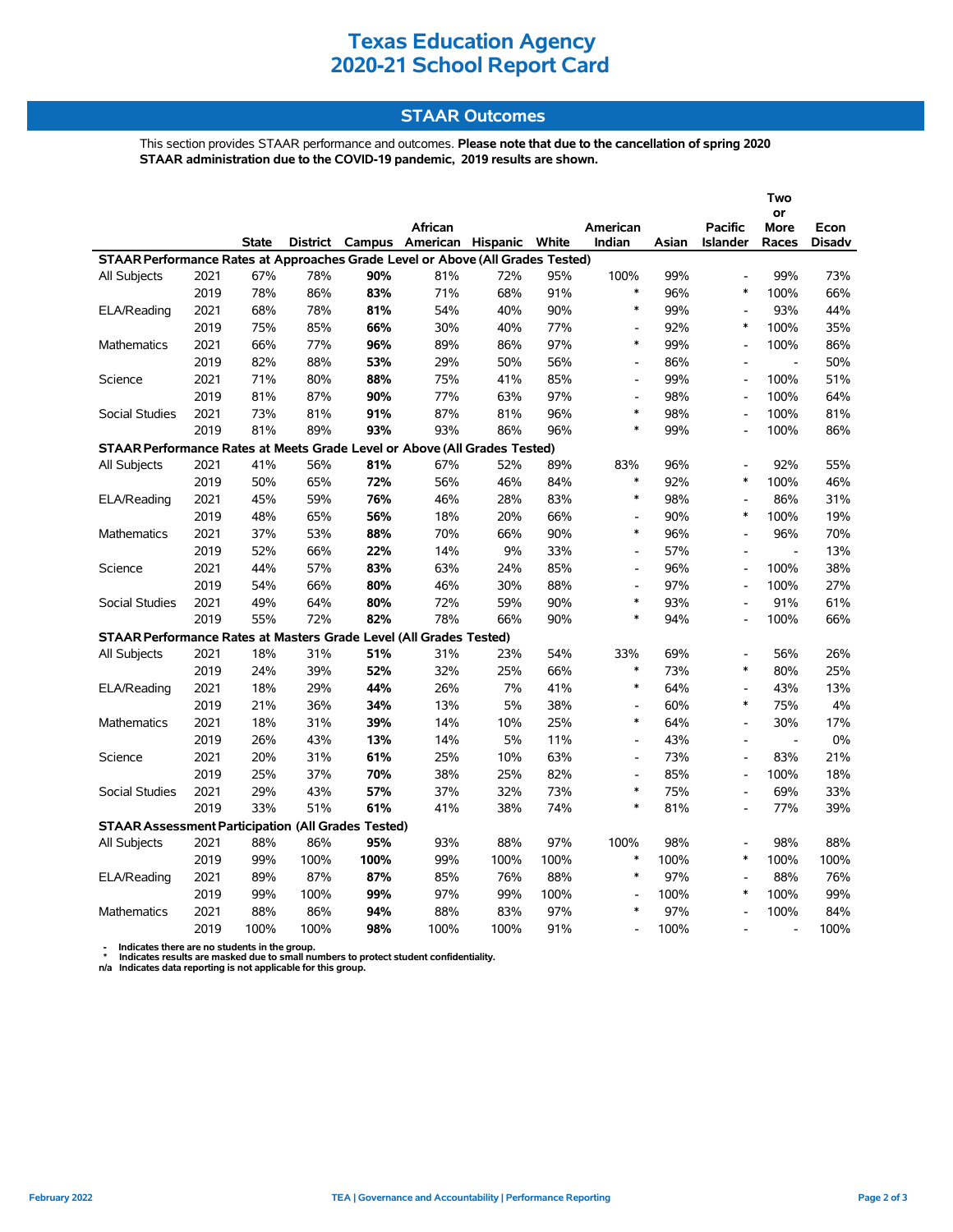## **Texas Education Agency 2020-21 School Report Card**

### **STAAR Outcomes**

This section provides STAAR performance and outcomes. **Please note that due to the cancellation of spring 2020 STAAR administration due to the COVID-19 pandemic, 2019 results are shown.**

|                                                                                |      |              |      |      |                                         |      |      |                          |       |                          | Two                          |               |
|--------------------------------------------------------------------------------|------|--------------|------|------|-----------------------------------------|------|------|--------------------------|-------|--------------------------|------------------------------|---------------|
|                                                                                |      |              |      |      | African                                 |      |      | American                 |       | <b>Pacific</b>           | or<br><b>More</b>            | Econ          |
|                                                                                |      | <b>State</b> |      |      | District Campus American Hispanic White |      |      | Indian                   | Asian | <b>Islander</b>          | Races                        | <b>Disadv</b> |
| STAAR Performance Rates at Approaches Grade Level or Above (All Grades Tested) |      |              |      |      |                                         |      |      |                          |       |                          |                              |               |
| All Subjects                                                                   | 2021 | 67%          | 78%  | 90%  | 81%                                     | 72%  | 95%  | 100%                     | 99%   | $\overline{a}$           | 99%                          | 73%           |
|                                                                                | 2019 | 78%          | 86%  | 83%  | 71%                                     | 68%  | 91%  | $\ast$                   | 96%   | $\ast$                   | 100%                         | 66%           |
| ELA/Reading                                                                    | 2021 | 68%          | 78%  | 81%  | 54%                                     | 40%  | 90%  | $\ast$                   | 99%   | $\overline{\phantom{a}}$ | 93%                          | 44%           |
|                                                                                | 2019 | 75%          | 85%  | 66%  | 30%                                     | 40%  | 77%  | $\overline{a}$           | 92%   | $\ast$                   | 100%                         | 35%           |
| Mathematics                                                                    | 2021 | 66%          | 77%  | 96%  | 89%                                     | 86%  | 97%  | $\ast$                   | 99%   | $\overline{\phantom{a}}$ | 100%                         | 86%           |
|                                                                                | 2019 | 82%          | 88%  | 53%  | 29%                                     | 50%  | 56%  | $\overline{\phantom{a}}$ | 86%   | $\overline{\phantom{a}}$ | $\blacksquare$               | 50%           |
| Science                                                                        | 2021 | 71%          | 80%  | 88%  | 75%                                     | 41%  | 85%  | L,                       | 99%   |                          | 100%                         | 51%           |
|                                                                                | 2019 | 81%          | 87%  | 90%  | 77%                                     | 63%  | 97%  | $\overline{a}$           | 98%   | $\overline{\phantom{a}}$ | 100%                         | 64%           |
| <b>Social Studies</b>                                                          | 2021 | 73%          | 81%  | 91%  | 87%                                     | 81%  | 96%  | $\ast$                   | 98%   | $\overline{\phantom{a}}$ | 100%                         | 81%           |
|                                                                                | 2019 | 81%          | 89%  | 93%  | 93%                                     | 86%  | 96%  | *                        | 99%   | $\overline{\phantom{a}}$ | 100%                         | 86%           |
| STAAR Performance Rates at Meets Grade Level or Above (All Grades Tested)      |      |              |      |      |                                         |      |      |                          |       |                          |                              |               |
| All Subjects                                                                   | 2021 | 41%          | 56%  | 81%  | 67%                                     | 52%  | 89%  | 83%                      | 96%   | $\overline{\phantom{a}}$ | 92%                          | 55%           |
|                                                                                | 2019 | 50%          | 65%  | 72%  | 56%                                     | 46%  | 84%  | $\ast$                   | 92%   | $\ast$                   | 100%                         | 46%           |
| ELA/Reading                                                                    | 2021 | 45%          | 59%  | 76%  | 46%                                     | 28%  | 83%  | $\ast$                   | 98%   | $\overline{\phantom{a}}$ | 86%                          | 31%           |
|                                                                                | 2019 | 48%          | 65%  | 56%  | 18%                                     | 20%  | 66%  | $\overline{a}$           | 90%   | $\ast$                   | 100%                         | 19%           |
| <b>Mathematics</b>                                                             | 2021 | 37%          | 53%  | 88%  | 70%                                     | 66%  | 90%  | $\ast$                   | 96%   | $\overline{\phantom{a}}$ | 96%                          | 70%           |
|                                                                                | 2019 | 52%          | 66%  | 22%  | 14%                                     | 9%   | 33%  | $\overline{a}$           | 57%   | $\overline{\phantom{a}}$ | $\frac{1}{2}$                | 13%           |
| Science                                                                        | 2021 | 44%          | 57%  | 83%  | 63%                                     | 24%  | 85%  | $\overline{a}$           | 96%   | $\overline{\phantom{a}}$ | 100%                         | 38%           |
|                                                                                | 2019 | 54%          | 66%  | 80%  | 46%                                     | 30%  | 88%  | $\overline{a}$           | 97%   | $\overline{a}$           | 100%                         | 27%           |
| <b>Social Studies</b>                                                          | 2021 | 49%          | 64%  | 80%  | 72%                                     | 59%  | 90%  | $\ast$                   | 93%   | $\overline{a}$           | 91%                          | 61%           |
|                                                                                | 2019 | 55%          | 72%  | 82%  | 78%                                     | 66%  | 90%  | $\ast$                   | 94%   | $\overline{a}$           | 100%                         | 66%           |
| STAAR Performance Rates at Masters Grade Level (All Grades Tested)             |      |              |      |      |                                         |      |      |                          |       |                          |                              |               |
| All Subjects                                                                   | 2021 | 18%          | 31%  | 51%  | 31%                                     | 23%  | 54%  | 33%                      | 69%   | $\blacksquare$           | 56%                          | 26%           |
|                                                                                | 2019 | 24%          | 39%  | 52%  | 32%                                     | 25%  | 66%  | $\ast$                   | 73%   | $\ast$                   | 80%                          | 25%           |
| ELA/Reading                                                                    | 2021 | 18%          | 29%  | 44%  | 26%                                     | 7%   | 41%  | $\ast$                   | 64%   | $\overline{a}$           | 43%                          | 13%           |
|                                                                                | 2019 | 21%          | 36%  | 34%  | 13%                                     | 5%   | 38%  | $\overline{\phantom{a}}$ | 60%   | $\ast$                   | 75%                          | 4%            |
| <b>Mathematics</b>                                                             | 2021 | 18%          | 31%  | 39%  | 14%                                     | 10%  | 25%  | $\ast$                   | 64%   | $\overline{\phantom{a}}$ | 30%                          | 17%           |
|                                                                                | 2019 | 26%          | 43%  | 13%  | 14%                                     | 5%   | 11%  | $\overline{\phantom{a}}$ | 43%   | $\blacksquare$           | $\overline{\phantom{a}}$     | $0\%$         |
| Science                                                                        | 2021 | 20%          | 31%  | 61%  | 25%                                     | 10%  | 63%  | $\overline{a}$           | 73%   | $\overline{a}$           | 83%                          | 21%           |
|                                                                                | 2019 | 25%          | 37%  | 70%  | 38%                                     | 25%  | 82%  | $\overline{\phantom{a}}$ | 85%   | L,                       | 100%                         | 18%           |
| Social Studies                                                                 | 2021 | 29%          | 43%  | 57%  | 37%                                     | 32%  | 73%  | $\ast$                   | 75%   | $\overline{a}$           | 69%                          | 33%           |
|                                                                                | 2019 | 33%          | 51%  | 61%  | 41%                                     | 38%  | 74%  | $\ast$                   | 81%   | $\overline{a}$           | 77%                          | 39%           |
| <b>STAAR Assessment Participation (All Grades Tested)</b>                      |      |              |      |      |                                         |      |      |                          |       |                          |                              |               |
| All Subjects                                                                   | 2021 | 88%          | 86%  | 95%  | 93%                                     | 88%  | 97%  | 100%                     | 98%   | $\blacksquare$           | 98%                          | 88%           |
|                                                                                | 2019 | 99%          | 100% | 100% | 99%                                     | 100% | 100% | $\ast$                   | 100%  | $\ast$                   | 100%                         | 100%          |
| ELA/Reading                                                                    | 2021 | 89%          | 87%  | 87%  | 85%                                     | 76%  | 88%  | $\ast$                   | 97%   | $\overline{a}$           | 88%                          | 76%           |
|                                                                                | 2019 | 99%          | 100% | 99%  | 97%                                     | 99%  | 100% | $\frac{1}{2}$            | 100%  | $\ast$                   | 100%                         | 99%           |
| <b>Mathematics</b>                                                             | 2021 | 88%          | 86%  | 94%  | 88%                                     | 83%  | 97%  | $\ast$                   | 97%   |                          | 100%                         | 84%           |
|                                                                                | 2019 | 100%         | 100% | 98%  | 100%                                    | 100% | 91%  | $\overline{\phantom{a}}$ | 100%  |                          | $\qquad \qquad \blacksquare$ | 100%          |

 **- Indicates there are no students in the group. \* Indicates results are masked due to small numbers to protect student confidentiality.**

**n/a Indicates data reporting is not applicable for this group.**